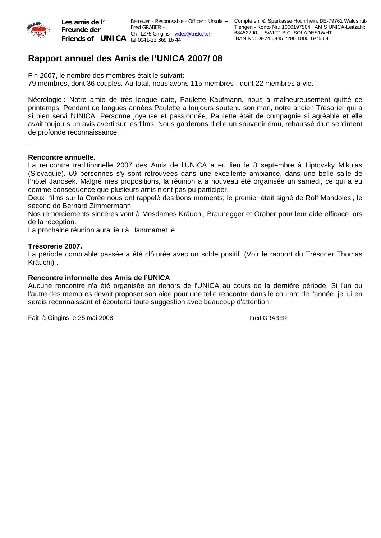

**Les amis de l' Freunde der Friends of UNICA** tel.0041-22 369 16 44

Betreuer - Responsable - Officer : Ursula + Fred GRABER – Ch -1276 Gingins - video@triskel.ch -

Compte en €: Sparkasse Hochrhein, DE-79761 Waldshut-Tiengen - Konto Nr.: 1000197564 AMIS UNICA-Leitzahl: 68452290 - SWIFT-BIC: SOLADES1WHT IBAN Nr.: DE74 6845 2290 1000 1975 64

# **Rapport annuel des Amis de l'UNICA 2007/ 08**

Fin 2007, le nombre des membres était le suivant: 79 membres, dont 36 couples. Au total, nous avons 115 membres - dont 22 membres à vie.

Nécrologie : Notre amie de très longue date, Paulette Kaufmann, nous a malheureusement quitté ce printemps. Pendant de longues années Paulette a toujours soutenu son mari, notre ancien Trésorier qui a si bien servi l'UNICA. Personne joyeuse et passionnée, Paulette était de compagnie si agréable et elle avait toujours un avis averti sur les films. Nous garderons d'elle un souvenir ému, rehaussé d'un sentiment de profonde reconnaissance.

### **Rencontre annuelle.**

La rencontre traditionnelle 2007 des Amis de l'UNICA a eu lieu le 8 septembre à Liptovsky Mikulas (Slovaquie). 69 personnes s'y sont retrouvées dans une excellente ambiance, dans une belle salle de l'hôtel Janosek. Malgré mes propositions, la réunion a à nouveau été organisée un samedi, ce qui a eu comme conséquence que plusieurs amis n'ont pas pu participer.

Deux films sur la Corée nous ont rappelé des bons moments; le premier était signé de Rolf Mandolesi, le second de Bernard Zimmermann.

Nos remerciements sincères vont à Mesdames Kräuchi, Braunegger et Graber pour leur aide efficace lors de la réception.

La prochaine réunion aura lieu à Hammamet le

## **Trésorerie 2007.**

La période comptable passée a été clôturée avec un solde positif. (Voir le rapport du Trésorier Thomas Kräuchi) .

## **Rencontre informelle des Amis de l'UNICA**

Aucune rencontre n'a été organisée en dehors de l'UNICA au cours de la dernière période. Si l'un ou l'autre des membres devait proposer son aide pour une telle rencontre dans le courant de l'année, je lui en serais reconnaissant et écouterai toute suggestion avec beaucoup d'attention.

Fait à Gingins le 25 mai 2008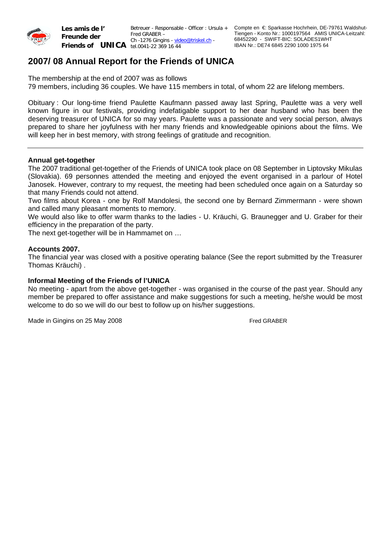

**Les amis de l' Freunde der Friends of UNICA** tel.0041-22 369 16 44

Betreuer - Responsable - Officer : Ursula + Fred GRABER – Ch -1276 Gingins - video@triskel.ch -

Compte en €: Sparkasse Hochrhein, DE-79761 Waldshut-Tiengen - Konto Nr.: 1000197564 AMIS UNICA-Leitzahl: 68452290 - SWIFT-BIC: SOLADES1WHT IBAN Nr.: DE74 6845 2290 1000 1975 64

# **2007/ 08 Annual Report for the Friends of UNICA**

The membership at the end of 2007 was as follows 79 members, including 36 couples. We have 115 members in total, of whom 22 are lifelong members.

Obituary : Our long-time friend Paulette Kaufmann passed away last Spring, Paulette was a very well known figure in our festivals, providing indefatigable support to her dear husband who has been the deserving treasurer of UNICA for so may years. Paulette was a passionate and very social person, always prepared to share her joyfulness with her many friends and knowledgeable opinions about the films. We will keep her in best memory, with strong feelings of gratitude and recognition.

## **Annual get-together**

The 2007 traditional get-together of the Friends of UNICA took place on 08 September in Liptovsky Mikulas (Slovakia). 69 personnes attended the meeting and enjoyed the event organised in a parlour of Hotel Janosek. However, contrary to my request, the meeting had been scheduled once again on a Saturday so that many Friends could not attend.

Two films about Korea - one by Rolf Mandolesi, the second one by Bernard Zimmermann - were shown and called many pleasant moments to memory.

We would also like to offer warm thanks to the ladies - U. Kräuchi, G. Braunegger and U. Graber for their efficiency in the preparation of the party.

The next get-together will be in Hammamet on …

## **Accounts 2007.**

The financial year was closed with a positive operating balance (See the report submitted by the Treasurer Thomas Kräuchi) .

## **Informal Meeting of the Friends of l'UNICA**

No meeting - apart from the above get-together - was organised in the course of the past year. Should any member be prepared to offer assistance and make suggestions for such a meeting, he/she would be most welcome to do so we will do our best to follow up on his/her suggestions.

Made in Gingins on 25 May 2008 Fred GRABER